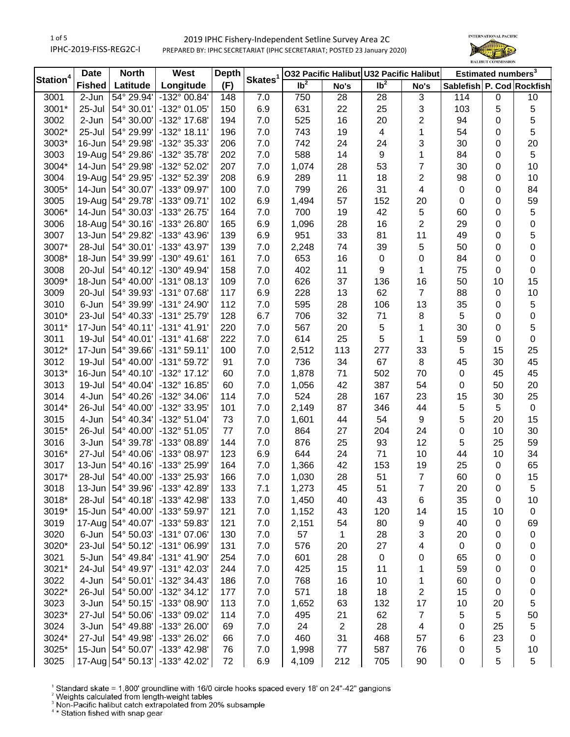1 of 5 IPHC-2019-FISS-REG2C-I

# 2019 IPHC Fishery-Independent Setline Survey Area 2C PREPARED BY: IPHC SECRETARIAT (IPHC SECRETARIAT; POSTED 23 January 2020)



| Station <sup>4</sup> | <b>Date</b>   | <b>North</b>        | West                           | <b>Depth</b> | Skates <sup>1</sup> | 032 Pacific Halibut U32 Pacific Halibut |                |                         |                         | Estimated numbers <sup>3</sup> |                |                  |
|----------------------|---------------|---------------------|--------------------------------|--------------|---------------------|-----------------------------------------|----------------|-------------------------|-------------------------|--------------------------------|----------------|------------------|
|                      | <b>Fished</b> | Latitude            | Longitude                      | (F)          |                     | $\overline{1}b^2$                       | No's           | $\overline{1}b^2$       | No's                    | Sablefish P. Cod Rockfish      |                |                  |
| 3001                 | 2-Jun         | 54° 29.94'          | -132° 00.84'                   | 148          | 7.0                 | 750                                     | 28             | 28                      | 3                       | 114                            | 0              | 10               |
| 3001*                | 25-Jul        | 54° 30.01'          | -132° 01.05'                   | 150          | 6.9                 | 631                                     | 22             | 25                      | 3                       | 103                            | 5              | 5                |
| 3002                 | 2-Jun         | 54° 30.00'          | -132° 17.68'                   | 194          | 7.0                 | 525                                     | 16             | 20                      | $\overline{2}$          | 94                             | 0              | 5                |
| 3002*                | 25-Jul        | 54° 29.99'          | $-132^{\circ}$ 18.11'          | 196          | 7.0                 | 743                                     | 19             | $\overline{\mathbf{4}}$ | 1                       | 54                             | 0              | 5                |
| 3003*                | 16-Jun        | 54° 29.98'          | -132° 35.33'                   | 206          | 7.0                 | 742                                     | 24             | 24                      | 3                       | 30                             | 0              | 20               |
| 3003                 | $19-Aug$      | 54° 29.86'          | -132° 35.78'                   | 202          | 7.0                 | 588                                     | 14             | 9                       | 1                       | 84                             | 0              | 5                |
| 3004*                | $14$ -Jun     | 54° 29.98'          | -132° 52.02'                   | 207          | 7.0                 | 1,074                                   | 28             | 53                      | $\overline{7}$          | 30                             | 0              | 10               |
| 3004                 | $19-Auq$      | 54° 29.95'          | -132° 52.39'                   | 208          | 6.9                 | 289                                     | 11             | 18                      | $\overline{2}$          | 98                             | 0              | 10               |
| 3005*                | $14$ -Jun     | 54° 30.07'          | -133° 09.97'                   | 100          | 7.0                 | 799                                     | 26             | 31                      | $\overline{\mathbf{4}}$ | $\mathbf 0$                    | 0              | 84               |
| 3005                 | $19-Auq$      | 54° 29.78'          | -133° 09.71'                   | 102          | 6.9                 | 1,494                                   | 57             | 152                     | 20                      | 0                              | 0              | 59               |
| 3006*                | 14-Jun        | 54° 30.03'          | -133° 26.75'                   | 164          | 7.0                 | 700                                     | 19             | 42                      | 5                       | 60                             | 0              | 5                |
| 3006                 | 18-Aug        | 54° 30.16'          | -133° 26.80'                   | 165          | 6.9                 | 1,096                                   | 28             | 16                      | $\overline{2}$          | 29                             | 0              | $\pmb{0}$        |
| 3007                 | 13-Jun        | 54° 29.82'          | -133° 43.96'                   | 139          | 6.9                 | 951                                     | 33             | 81                      | 11                      | 49                             | 0              | 5                |
| 3007*                | 28-Jul        | 54° 30.01'          | -133° 43.97'                   | 139          | 7.0                 | 2,248                                   | 74             | 39                      | 5                       | 50                             | 0              | $\boldsymbol{0}$ |
| 3008*                | 18-Jun        | 54° 39.99'          | $-130^{\circ}$ 49.61'          | 161          | 7.0                 | 653                                     | 16             | $\pmb{0}$               | 0                       | 84                             | 0              | $\boldsymbol{0}$ |
| 3008                 | 20-Jul        | 54° 40.12'          | -130° 49.94'                   | 158          | 7.0                 | 402                                     | 11             | 9                       | 1                       | 75                             | 0              | 0                |
| 3009*                | 18-Jun        | 54° 40.00'          | $-131°08.13'$                  | 109          | 7.0                 | 626                                     | 37             | 136                     | 16                      | 50                             | 10             | 15               |
| 3009                 | 20-Jul        | 54° 39.93'          | -131° 07.68'                   | 117          | 6.9                 | 228                                     | 13             | 62                      | $\overline{7}$          | 88                             | 0              | 10               |
| 3010                 | 6-Jun         | 54° 39.99'          | -131° 24.90'                   | 112          | 7.0                 | 595                                     | 28             | 106                     | 13                      | 35                             | 0              | 5                |
| 3010*                | 23-Jul        | 54° 40.33'          | -131° 25.79'                   | 128          | 6.7                 | 706                                     | 32             | 71                      | 8                       | 5                              | 0              | 0                |
| 3011*                | 17-Jun        | 54° 40.11'          | $-131^{\circ}$ 41.91'          | 220          | 7.0                 | 567                                     | 20             | 5                       | 1                       | 30                             | 0              | 5                |
| 3011                 | 19-Jul        | 54° 40.01'          | $-131^{\circ}$ 41.68'          | 222          | 7.0                 | 614                                     | 25             | 5                       | 1                       | 59                             | 0              | 0                |
| 3012*                | 17-Jun        | 54° 39.66'          | $-131°59.11'$                  | 100          | 7.0                 | 2,512                                   | 113            | 277                     | 33                      | 5                              | 15             | 25               |
| 3012                 | 19-Jul        | 54° 40.00'          | -131° 59.72'                   | 91           | 7.0                 | 736                                     | 34             | 67                      | 8                       | 45                             | 30             | 45               |
| 3013*                | 16-Jun        | 54° 40.10'          | $-132^{\circ}$ 17.12'          | 60           | 7.0                 | 1,878                                   | 71             | 502                     | 70                      | 0                              | 45             | 45               |
| 3013                 | 19-Jul        | 54° 40.04'          | -132° 16.85'                   | 60           | 7.0                 | 1,056                                   | 42             | 387                     | 54                      | 0                              | 50             | 20               |
| 3014                 | 4-Jun         | 54° 40.26'          | -132° 34.06'                   | 114          | 7.0                 | 524                                     | 28             | 167                     | 23                      | 15                             | 30             | 25               |
| 3014*                | 26-Jul        | 54° 40.00'          | -132° 33.95'                   | 101          | 7.0                 | 2,149                                   | 87             | 346                     | 44                      | $\sqrt{5}$                     | $\overline{5}$ | $\mathbf 0$      |
| 3015                 | 4-Jun         | 54° 40.34'          | $-132^{\circ} 51.04'$          | 73           | 7.0                 | 1,601                                   | 44             | 54                      | 9                       | 5                              | 20             | 15               |
| 3015*                | 26-Jul        | 54° 40.00'          | $-132^{\circ} 51.05'$          | 77           | 7.0                 | 864                                     | 27             | 204                     | 24                      | 0                              | 10             | 30               |
| 3016                 | 3-Jun         | 54° 39.78'          | -133° 08.89'                   | 144          | 7.0                 | 876                                     | 25             | 93                      | 12                      | 5                              | 25             | 59               |
| 3016*                | 27-Jul        | 54° 40.06'          | -133° 08.97'                   | 123          | 6.9                 | 644                                     | 24             | 71                      | 10                      | 44                             | 10             | 34               |
| 3017                 | 13-Jun        | 54° 40.16'          | -133° 25.99'                   | 164          | 7.0                 | 1,366                                   | 42             | 153                     | 19                      | 25                             | 0              | 65               |
| 3017*                | 28-Jul        | 54° 40.00'          | -133° 25.93'                   | 166          | 7.0                 | 1,030                                   | 28             | 51                      | $\overline{7}$          | 60                             | 0              | 15               |
| 3018                 |               | 13-Jun   54° 39.96' | $-133^{\circ}$ 42.89           | 133          | 7.1                 | 1,273                                   | 45             | 51                      | 7                       | 20                             | 0              | 5                |
| 3018*                | 28-Jul        | 54° 40.18'          | -133° 42.98'                   | 133          | 7.0                 | 1,450                                   | 40             | 43                      | 6                       | 35                             | 0              | 10               |
| 3019*                | 15-Jun        | 54° 40.00'          | -133° 59.97'                   | 121          | 7.0                 | 1,152                                   | 43             | 120                     | 14                      | 15                             | 10             | 0                |
| 3019                 | 17-Aug        | 54° 40.07'          | -133° 59.83'                   | 121          | 7.0                 | 2,151                                   | 54             | 80                      | 9                       | 40                             | 0              | 69               |
| 3020                 | 6-Jun         | 54° 50.03'          | -131° 07.06'                   | 130          | 7.0                 | 57                                      | 1              | 28                      | 3                       | 20                             | 0              | 0                |
| 3020*                | 23-Jul        | 54° 50.12'          | -131° 06.99'                   | 131          | 7.0                 | 576                                     | 20             | 27                      | 4                       | 0                              | 0              | 0                |
| 3021                 | 5-Jun         | 54° 49.84'          | $-131^{\circ}$ 41.90'          | 254          | 7.0                 | 601                                     | 28             | 0                       | 0                       | 65                             | 0              | 0                |
| 3021*                | 24-Jul        | 54° 49.97'          | $-131^{\circ}$ 42.03'          | 244          | 7.0                 | 425                                     | 15             | 11                      | 1                       | 59                             | 0              | 0                |
| 3022                 | 4-Jun         | 54° 50.01'          | -132° 34.43'                   | 186          | 7.0                 | 768                                     | 16             | 10                      | 1                       | 60                             | 0              | 0                |
| 3022*                | 26-Jul        | 54° 50.00'          | $-132^{\circ}$ 34.12'          | 177          | 7.0                 | 571                                     | 18             | 18                      | $\overline{2}$          | 15                             | 0              | 0                |
| 3023                 | 3-Jun         | 54° 50.15'          | -133° 08.90'                   | 113          | $7.0$               | 1,652                                   | 63             | 132                     | 17                      | 10                             | 20             | 5                |
| 3023*                | 27-Jul        | 54° 50.06'          | -133° 09.02'                   | 114          | $7.0$               | 495                                     | 21             | 62                      | $\boldsymbol{7}$        | 5                              | 5              | 50               |
| 3024                 | 3-Jun         | 54° 49.88'          | -133° 26.00'                   | 69           | 7.0                 | 24                                      | $\overline{2}$ | 28                      | $\overline{\mathbf{4}}$ | 0                              | 25             | 5                |
| 3024*                | 27-Jul        | 54° 49.98'          | -133° 26.02'                   | 66           | 7.0                 | 460                                     | 31             | 468                     | 57                      | 6                              | 23             | 0                |
| 3025*                | $15$ -Jun     | 54° 50.07'          | -133° 42.98'                   | 76           | 7.0                 | 1,998                                   | $77$           | 587                     | 76                      | 0                              | 5              | 10               |
| 3025                 |               |                     | 17-Aug 54° 50.13' -133° 42.02' | 72           | 6.9                 | 4,109                                   | 212            | 705                     | 90                      | 0                              | 5              | 5                |
|                      |               |                     |                                |              |                     |                                         |                |                         |                         |                                |                |                  |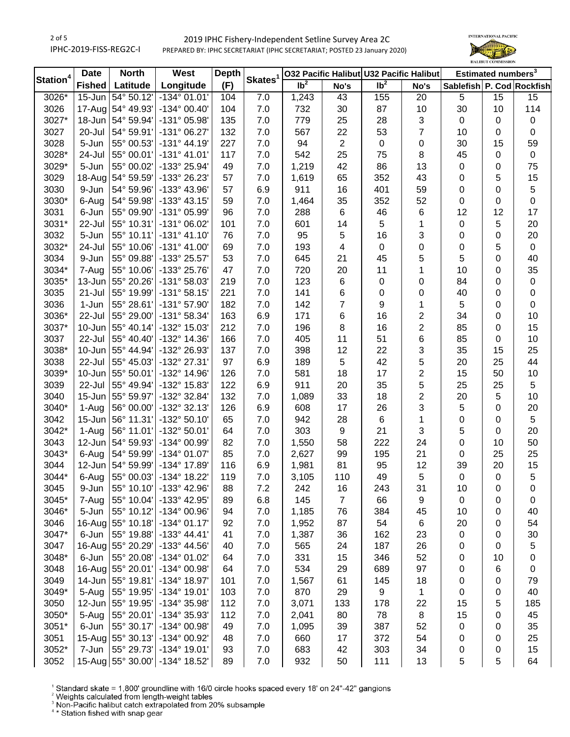# 2019 IPHC Fishery-Independent Setline Survey Area 2C PREPARED BY: IPHC SECRETARIAT (IPHC SECRETARIAT; POSTED 23 January 2020)



| Station <sup>4</sup> | <b>Date</b>   | <b>North</b><br><b>Depth</b><br>West |                                 |     |                     | 032 Pacific Halibut U32 Pacific Halibut | Estimated numbers <sup>3</sup> |                 |                  |                           |                 |                  |
|----------------------|---------------|--------------------------------------|---------------------------------|-----|---------------------|-----------------------------------------|--------------------------------|-----------------|------------------|---------------------------|-----------------|------------------|
|                      | <b>Fished</b> | Latitude                             | Longitude                       | (F) | Skates <sup>1</sup> | $\overline{1}b^2$                       | No's                           | Ib <sup>2</sup> | No's             | Sablefish P. Cod Rockfish |                 |                  |
| 3026*                | 15-Jun        | 54° 50.12'                           | $-134^{\circ}$ 01.01'           | 104 | $\overline{7.0}$    | 1,243                                   | 43                             | 155             | 20               | $\sqrt{5}$                | $\overline{15}$ | 15               |
| 3026                 |               | 17-Aug 54° 49.93'                    | $-134^{\circ}$ 00.40'           | 104 | 7.0                 | 732                                     | 30                             | 87              | 10               | 30                        | 10              | 114              |
| 3027*                | 18-Jun        | 54° 59.94'                           | -131° 05.98'                    | 135 | 7.0                 | 779                                     | 25                             | 28              | 3                | $\mathbf 0$               | 0               | 0                |
| 3027                 | 20-Jul        | 54° 59.91'                           | -131° 06.27'                    | 132 | 7.0                 | 567                                     | 22                             | 53              | $\overline{7}$   | 10                        | 0               | 0                |
| 3028                 | 5-Jun         | 55° 00.53'                           | $-131^{\circ}$ 44.19'           | 227 | 7.0                 | 94                                      | $\boldsymbol{2}$               | $\pmb{0}$       | 0                | 30                        | 15              | 59               |
| 3028*                | 24-Jul        | 55° 00.01'                           | $-131°$ 41.01'                  | 117 | 7.0                 | 542                                     | 25                             | 75              | 8                | 45                        | 0               | $\mathbf 0$      |
| 3029*                | 5-Jun         | 55° 00.02'                           | -133° 25.94'                    | 49  | 7.0                 | 1,219                                   | 42                             | 86              | 13               | 0                         | 0               | 75               |
| 3029                 |               | 18-Aug 54° 59.59'                    | -133° 26.23'                    | 57  | 7.0                 | 1,619                                   | 65                             | 352             | 43               | 0                         | 5               | 15               |
| 3030                 | 9-Jun         | 54° 59.96'                           | -133° 43.96'                    | 57  | 6.9                 | 911                                     | 16                             | 401             | 59               | 0                         | 0               | 5                |
| 3030*                | 6-Aug         | 54° 59.98'                           | -133° 43.15'                    | 59  | 7.0                 | 1,464                                   | 35                             | 352             | 52               | 0                         | 0               | $\mathsf 0$      |
| 3031                 | 6-Jun         | 55° 09.90'                           | -131° 05.99'                    | 96  | 7.0                 | 288                                     | 6                              | 46              | 6                | 12                        | 12              | 17               |
| 3031*                | 22-Jul        | 55° 10.31'                           | -131° 06.02'                    | 101 | 7.0                 | 601                                     | 14                             | 5               | 1                | 0                         | 5               | 20               |
| 3032                 | 5-Jun         | 55° 10.11'                           | $-131°$ 41.10'                  | 76  | 7.0                 | 95                                      | 5                              | 16              | 3                | 0                         | 0               | 20               |
| 3032*                | 24-Jul        | 55° 10.06'                           | $-131^{\circ}$ 41.00'           | 69  | 7.0                 | 193                                     | 4                              | 0               | $\boldsymbol{0}$ | 0                         | 5               | $\boldsymbol{0}$ |
| 3034                 | 9-Jun         | 55° 09.88'                           | -133° 25.57'                    | 53  | 7.0                 | 645                                     | 21                             | 45              | 5                | 5                         | 0               | 40               |
| 3034*                | 7-Aug         | 55° 10.06'                           | -133° 25.76'                    | 47  | 7.0                 | 720                                     | 20                             | 11              | 1                | 10                        | 0               | 35               |
| 3035*                | 13-Jun        | 55° 20.26'                           | -131° 58.03'                    | 219 | 7.0                 | 123                                     | 6                              | 0               | 0                | 84                        | 0               | $\pmb{0}$        |
| 3035                 | 21-Jul        | 55° 19.99'                           | $-131°58.15'$                   | 221 | 7.0                 | 141                                     | 6                              | 0               | 0                | 40                        | 0               | $\pmb{0}$        |
| 3036                 | 1-Jun         | 55° 28.61'                           | -131° 57.90'                    | 182 | 7.0                 | 142                                     | 7                              | 9               | 1                | 5                         | 0               | $\mathbf 0$      |
| 3036*                | 22-Jul        | 55° 29.00'                           | -131° 58.34'                    | 163 | 6.9                 | 171                                     | 6                              | 16              | 2                | 34                        | 0               | 10               |
| 3037*                | 10-Jun        | 55° 40.14'                           | -132° 15.03'                    | 212 | 7.0                 | 196                                     | 8                              | 16              | $\overline{c}$   | 85                        | 0               | 15               |
| 3037                 | 22-Jul        | 55° 40.40'                           | -132° 14.36'                    | 166 | 7.0                 | 405                                     | 11                             | 51              | 6                | 85                        | 0               | 10               |
| 3038*                | $10 - Jun$    | 55° 44.94'                           | -132° 26.93'                    | 137 | 7.0                 | 398                                     | 12                             | 22              | 3                | 35                        | 15              | 25               |
| 3038                 | 22-Jul        | 55° 45.03'                           | -132° 27.31'                    | 97  | 6.9                 | 189                                     | 5                              | 42              | 5                | 20                        | 25              | 44               |
| 3039*                |               | 10-Jun 55° 50.01'                    | -132° 14.96'                    | 126 | 7.0                 | 581                                     | 18                             | 17              | 2                | 15                        | 50              | 10               |
| 3039                 | 22-Jul        | 55° 49.94'                           | -132° 15.83'                    | 122 | 6.9                 | 911                                     | 20                             | 35              | 5                | 25                        | 25              | 5                |
| 3040                 | $15 - Jun$    | 55° 59.97'                           | -132° 32.84'                    | 132 | 7.0                 | 1,089                                   | 33                             | 18              | $\overline{c}$   | 20                        | 5               | 10               |
| 3040*                | 1-Aug         | 56° 00.00'                           | -132° 32.13'                    | 126 | 6.9                 | 608                                     | 17                             | 26              | 3                | 5                         | $\mathbf 0$     | 20               |
| 3042                 | $15 - Jun$    | 56° 11.31'                           | -132° 50.10'                    | 65  | 7.0                 | 942                                     | 28                             | 6               | 1                | 0                         | 0               | 5                |
| 3042*                | 1-Aug         | 56° 11.01'                           | -132° 50.01'                    | 64  | 7.0                 | 303                                     | 9                              | 21              | 3                | 5                         | 0               | 20               |
| 3043                 | 12-Jun        | 54° 59.93'                           | -134° 00.99'                    | 82  | 7.0                 | 1,550                                   | 58                             | 222             | 24               | 0                         | 10              | 50               |
| 3043*                | 6-Aug         | 54° 59.99'                           | -134° 01.07'                    | 85  | 7.0                 | 2,627                                   | 99                             | 195             | 21               | 0                         | 25              | 25               |
| 3044                 | 12-Jun        | 54° 59.99'                           | -134° 17.89'                    | 116 | 6.9                 | 1,981                                   | 81                             | 95              | 12               | 39                        | 20              | 15               |
| 3044*                | 6-Aug         | 55° 00.03'                           | -134° 18.22'                    | 119 | 7.0                 | 3,105                                   | 110                            | 49              | 5                | $\mathsf 0$               | 0               | 5                |
| 3045                 | 9-Jun         | 55° 10.10'                           | -133° 42.96'                    | 88  | 7.2                 | 242                                     | 16                             | 243             | 31               | 10                        | 0               | 0                |
| 3045*                | 7-Aug         | 55° 10.04'                           | -133° 42.95'                    | 89  | 6.8                 | 145                                     | $\overline{7}$                 | 66              | 9                | 0                         | 0               | 0                |
| 3046*                | 5-Jun         | 55° 10.12'                           | -134° 00.96'                    | 94  | 7.0                 | 1,185                                   | 76                             | 384             | 45               | 10                        | 0               | 40               |
| 3046                 |               | 16-Aug 55° 10.18'                    | $-134^{\circ}$ 01.17'           | 92  | 7.0                 | 1,952                                   | 87                             | 54              | 6                | 20                        | 0               | 54               |
| 3047*                | 6-Jun         | 55° 19.88'                           | $-133^{\circ}$ 44.41'           | 41  | 7.0                 | 1,387                                   | 36                             | 162             | 23               | 0                         | 0               | 30               |
| 3047                 |               | 16-Aug 55° 20.29'                    | -133° 44.56'                    | 40  | 7.0                 | 565                                     | 24                             | 187             | 26               | 0                         | 0               | 5                |
| 3048*                | 6-Jun         | 55° 20.08'                           | -134° 01.02'                    | 64  | 7.0                 | 331                                     | 15                             | 346             | 52               | 0                         | 10              | 0                |
| 3048                 |               | 16-Aug 55° 20.01'                    | -134° 00.98'                    | 64  | 7.0                 | 534                                     | 29                             | 689             | 97               | 0                         | 6               | $\pmb{0}$        |
| 3049                 | 14-Jun        | 55° 19.81'                           | -134° 18.97'                    | 101 | 7.0                 | 1,567                                   | 61                             | 145             | 18               | 0                         | 0               | 79               |
| 3049*                | 5-Aug         | 55° 19.95'                           | -134° 19.01'                    | 103 | 7.0                 | 870                                     | 29                             | 9               | 1                | 0                         | 0               | 40               |
| 3050                 | 12-Jun        | 55° 19.95'                           | -134° 35.98'                    | 112 | 7.0                 | 3,071                                   | 133                            | 178             | 22               | 15                        | 5               | 185              |
| 3050*                | 5-Aug         | 55° 20.01'                           | -134° 35.93'                    | 112 | 7.0                 | 2,041                                   | 80                             | 78              | 8                | 15                        | 0               | 45               |
| 3051*                | 6-Jun         | 55° 30.17'                           | -134° 00.98'                    | 49  | 7.0                 | 1,095                                   | 39                             | 387             | 52               | 0                         | 0               | 35               |
| 3051                 |               | 15-Aug 55° 30.13'                    | -134° 00.92'                    | 48  | 7.0                 | 660                                     | 17                             | 372             | 54               | 0                         | 0               | 25               |
| 3052*                | 7-Jun         | 55° 29.73'                           | $-134^{\circ}$ 19.01'           | 93  | 7.0                 | 683                                     | 42                             | 303             | 34               | 0                         | 0               | 15               |
| 3052                 |               |                                      | 15-Aug 55° 30.00' - 134° 18.52' | 89  | $7.0$               | 932                                     | 50                             | 111             | 13               | 5                         | 5               | 64               |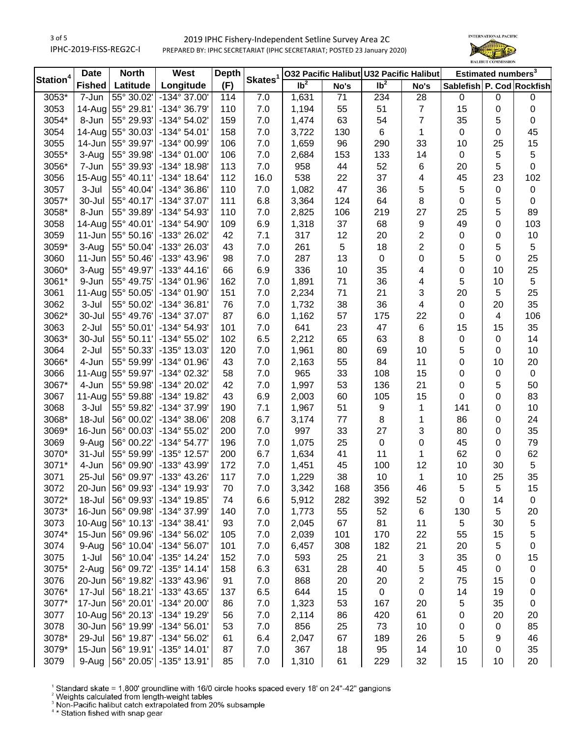3 of 5 IPHC-2019-FISS-REG2C-I

# 2019 IPHC Fishery-Independent Setline Survey Area 2C PREPARED BY: IPHC SECRETARIAT (IPHC SECRETARIAT; POSTED 23 January 2020)



|                      | <b>Date</b>   | <b>North</b>      | West                     | <b>Depth</b> |                     |                 |      | 032 Pacific Halibut U32 Pacific Halibut |                  | Estimated numbers <sup>3</sup> |                  |                  |
|----------------------|---------------|-------------------|--------------------------|--------------|---------------------|-----------------|------|-----------------------------------------|------------------|--------------------------------|------------------|------------------|
| Station <sup>4</sup> | <b>Fished</b> | Latitude          | Longitude                | (F)          | Skates <sup>1</sup> | Ib <sup>2</sup> | No's | $\overline{lb^2}$                       | No's             | Sablefish P. Cod Rockfish      |                  |                  |
| 3053*                | 7-Jun         | 55° 30.02'        | -134° 37.00'             | 114          | 7.0                 | 1,631           | 71   | 234                                     | 28               | $\mathbf 0$                    | $\mathbf 0$      | $\boldsymbol{0}$ |
| 3053                 |               | 14-Aug 55° 29.81' | -134° 36.79'             | 110          | 7.0                 | 1,194           | 55   | 51                                      | $\boldsymbol{7}$ | 15                             | 0                | $\pmb{0}$        |
| 3054*                | 8-Jun         | 55° 29.93'        | -134° 54.02'             | 159          | 7.0                 | 1,474           | 63   | 54                                      | $\overline{7}$   | 35                             | 5                | $\boldsymbol{0}$ |
| 3054                 |               | 14-Aug 55° 30.03' | $-134^{\circ} 54.01'$    | 158          | 7.0                 | 3,722           | 130  | 6                                       | 1                | 0                              | 0                | 45               |
| 3055                 | 14-Jun        | 55° 39.97'        | -134° 00.99'             | 106          | 7.0                 | 1,659           | 96   | 290                                     | 33               | 10                             | 25               | 15               |
| 3055*                | 3-Aug         | 55° 39.98'        | -134° 01.00'             | 106          | 7.0                 | 2,684           | 153  | 133                                     | 14               | 0                              | 5                | 5                |
| 3056*                | 7-Jun         | 55° 39.93'        | -134° 18.98'             | 113          | 7.0                 | 958             | 44   | 52                                      | 6                | 20                             | 5                | $\boldsymbol{0}$ |
| 3056                 |               | 15-Aug 55° 40.11' | $-134^{\circ}$ 18.64'    | 112          | 16.0                | 538             | 22   | 37                                      | 4                | 45                             | 23               | 102              |
| 3057                 | 3-Jul         | 55° 40.04'        | -134° 36.86'             | 110          | 7.0                 | 1,082           | 47   | 36                                      | 5                | 5                              | $\boldsymbol{0}$ | $\pmb{0}$        |
| 3057*                | 30-Jul        | 55° 40.17'        | -134° 37.07'             | 111          | 6.8                 | 3,364           | 124  | 64                                      | 8                | 0                              | 5                | $\boldsymbol{0}$ |
| 3058*                | 8-Jun         | 55° 39.89'        | -134° 54.93'             | 110          | 7.0                 | 2,825           | 106  | 219                                     | 27               | 25                             | 5                | 89               |
| 3058                 |               | 14-Aug 55° 40.01' | -134° 54.90'             | 109          | 6.9                 | 1,318           | 37   | 68                                      | 9                | 49                             | 0                | 103              |
| 3059                 | $11-Jun$      | 55° 50.16'        | -133° 26.02'             | 42           | 7.1                 | 317             | 12   | 20                                      | 2                | 0                              | 0                | 10               |
| 3059*                | 3-Aug         | 55° 50.04'        | -133° 26.03'             | 43           | 7.0                 | 261             | 5    | 18                                      | $\overline{2}$   | 0                              | 5                | 5                |
| 3060                 | $11-Jun$      | 55° 50.46'        | -133° 43.96'             | 98           | 7.0                 | 287             | 13   | $\pmb{0}$                               | 0                | 5                              | 0                | 25               |
| 3060*                | 3-Aug         | 55° 49.97'        | $-133^{\circ}$ 44.16'    | 66           | 6.9                 | 336             | 10   | 35                                      | 4                | 0                              | 10               | 25               |
| 3061*                | 9-Jun         | 55° 49.75'        | -134° 01.96'             | 162          | 7.0                 | 1,891           | 71   | 36                                      | 4                | 5                              | 10               | 5                |
| 3061                 |               | 11-Aug 55° 50.05' | -134° 01.90'             | 151          | 7.0                 | 2,234           | 71   | 21                                      | 3                | 20                             | 5                | 25               |
| 3062                 | 3-Jul         | 55° 50.02'        | -134° 36.81'             | 76           | 7.0                 | 1,732           | 38   | 36                                      | 4                | $\pmb{0}$                      | 20               | 35               |
| 3062*                | 30-Jul        | 55° 49.76'        | -134° 37.07'             | 87           | 6.0                 | 1,162           | 57   | 175                                     | 22               | 0                              | 4                | 106              |
| 3063                 | $2-Jul$       | 55° 50.01'        | -134° 54.93'             | 101          | 7.0                 | 641             | 23   | 47                                      | 6                | 15                             | 15               | 35               |
| 3063*                | 30-Jul        | 55° 50.11'        | -134° 55.02'             | 102          | 6.5                 | 2,212           | 65   | 63                                      | 8                | 0                              | $\boldsymbol{0}$ | 14               |
| 3064                 | $2-Jul$       | 55° 50.33'        | -135° 13.03'             | 120          | 7.0                 | 1,961           | 80   | 69                                      | 10               | 5                              | 0                | 10               |
| 3066*                | 4-Jun         | 55° 59.99'        | -134° 01.96'             | 43           | 7.0                 | 2,163           | 55   | 84                                      | 11               | 0                              | 10               | 20               |
| 3066                 |               | 11-Aug 55° 59.97' | -134° 02.32'             | 58           | 7.0                 | 965             | 33   | 108                                     | 15               | 0                              | $\boldsymbol{0}$ | 0                |
| 3067*                | 4-Jun         | 55° 59.98'        | -134° 20.02'             | 42           | 7.0                 | 1,997           | 53   | 136                                     | 21               | 0                              | 5                | 50               |
| 3067                 |               | 11-Aug 55° 59.88' | -134° 19.82'             | 43           | 6.9                 | 2,003           | 60   | 105                                     | 15               | 0                              | 0                | 83               |
| 3068                 | 3-Jul         | 55° 59.82'        | -134° 37.99'             | 190          | 7.1                 | 1,967           | 51   | 9                                       | 1                | 141                            | 0                | 10               |
| 3068*                | 18-Jul        | 56° 00.02'        | -134° 38.06'             | 208          | 6.7                 | 3,174           | $77$ | 8                                       | 1                | 86                             | 0                | 24               |
| 3069*                | 16-Jun        | 56° 00.03'        | -134° 55.02'             | 200          | 7.0                 | 997             | 33   | 27                                      | 3                | 80                             | 0                | 35               |
| 3069                 | 9-Aug         | 56° 00.22'        | $-134^{\circ} 54.77'$    | 196          | 7.0                 | 1,075           | 25   | $\pmb{0}$                               | 0                | 45                             | 0                | 79               |
| 3070*                | 31-Jul        | 55° 59.99'        | -135° 12.57'             | 200          | 6.7                 | 1,634           | 41   | 11                                      | 1                | 62                             | 0                | 62               |
| 3071*                | 4-Jun         | 56° 09.90'        | -133° 43.99'             | 172          | 7.0                 | 1,451           | 45   | 100                                     | 12               | 10                             | 30               | 5                |
| 3071                 | 25-Jul        | 56° 09.97'        | -133° 43.26'             | 117          | 7.0                 | 1,229           | 38   | 10                                      | 1                | 10                             | 25               | 35               |
| 3072                 |               | 20-Jun 56° 09.93' | -134° 19.93'             | 70           | 7.0                 | 3,342           | 168  | 356                                     | 46               | 5                              | 5                | 15               |
| 3072*                | 18-Jul        | 56° 09.93'        | -134° 19.85'             | 74           | 6.6                 | 5,912           | 282  | 392                                     | 52               | 0                              | 14               | 0                |
| 3073*                | 16-Jun        | 56° 09.98'        | -134° 37.99'             | 140          | 7.0                 | 1,773           | 55   | 52                                      | 6                | 130                            | 5                | 20               |
| 3073                 |               | 10-Aug 56° 10.13' | $-134^{\circ} 38.41'$    | 93           | 7.0                 | 2,045           | 67   | 81                                      | 11               | 5                              | 30               | 5                |
| 3074*                | 15-Jun        | 56° 09.96'        | -134° 56.02'             | 105          | 7.0                 | 2,039           | 101  | 170                                     | 22               | 55                             | 15               | 5                |
| 3074                 | 9-Aug         | 56° 10.04'        | -134° 56.07'             | 101          | 7.0                 | 6,457           | 308  | 182                                     | 21               | 20                             | 5                | 0                |
| 3075                 | $1-Jul$       | 56° 10.04'        | $-135^{\circ}$ 14.24'    | 152          | 7.0                 | 593             | 25   | 21                                      | 3                | 35                             | 0                | 15               |
| 3075*                | 2-Aug         | 56° 09.72'        | $-135°$ 14.14            | 158          | 6.3                 | 631             | 28   | 40                                      | 5                | 45                             | 0                | $\boldsymbol{0}$ |
| 3076                 | 20-Jun        | 56° 19.82'        | -133° 43.96'             | 91           | $7.0$               | 868             | 20   | 20                                      | 2                | 75                             | 15               | 0                |
| 3076*                | 17-Jul        | 56° 18.21'        | -133° 43.65'             | 137          | 6.5                 | 644             | 15   | $\pmb{0}$                               | $\pmb{0}$        | 14                             | 19               | 0                |
| 3077*                | 17-Jun        | 56° 20.01'        | -134° 20.00'             | 86           | 7.0                 | 1,323           | 53   | 167                                     | 20               | 5                              | 35               | $\pmb{0}$        |
| 3077                 |               | 10-Aug 56° 20.13' | -134° 19.29'             | 56           | 7.0                 | 2,114           | 86   | 420                                     | 61               | 0                              | 20               | 20               |
| 3078                 | 30-Jun        | 56° 19.99'        | $-134^{\circ} 56.01'$    | 53           | 7.0                 | 856             | 25   | 73                                      | 10               | 0                              | $\boldsymbol{0}$ | 85               |
| 3078*                | 29-Jul        | 56° 19.87'        | -134° 56.02'             | 61           | 6.4                 | 2,047           | 67   | 189                                     | 26               | 5                              | 9                | 46               |
| 3079*                |               | 15-Jun 56° 19.91' | $-135^{\circ}$ 14.01'    | 87           | 7.0                 | 367             | 18   | 95                                      | 14               | 10                             | 0                | 35               |
| 3079                 | 9-Aug         |                   | 56° 20.05' - 135° 13.91' | 85           | $7.0$               | 1,310           | 61   | 229                                     | 32               | 15                             | 10               | 20               |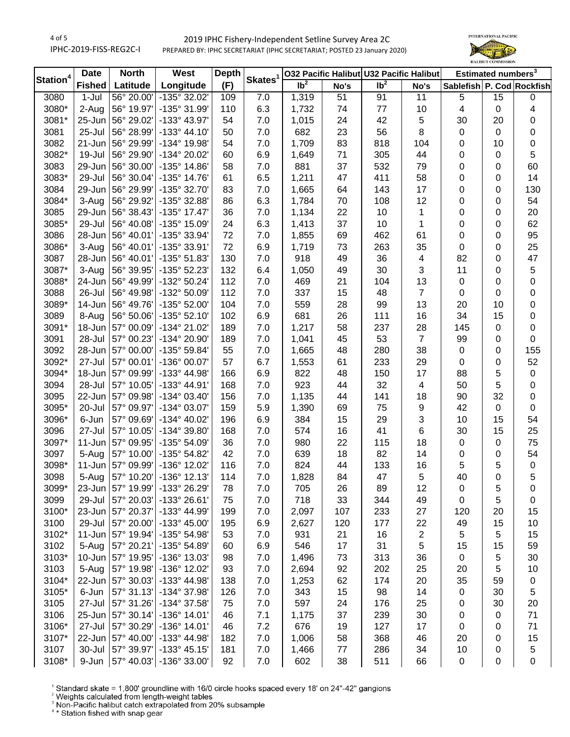4 of 5 IPHC-2019-FISS-REG2C-I

# 2019 IPHC Fishery-Independent Setline Survey Area 2C PREPARED BY: IPHC SECRETARIAT (IPHC SECRETARIAT; POSTED 23 January 2020)



|                      | <b>Date</b>   | <b>North</b>             | West                               | <b>Depth</b> |                     |                   |          |                 | 032 Pacific Halibut U32 Pacific Halibut |                           | Estimated numbers <sup>3</sup> |                  |
|----------------------|---------------|--------------------------|------------------------------------|--------------|---------------------|-------------------|----------|-----------------|-----------------------------------------|---------------------------|--------------------------------|------------------|
| Station <sup>4</sup> | <b>Fished</b> | Latitude                 | Longitude                          | (F)          | Skates <sup>1</sup> | $\overline{1}b^2$ | No's     | Ib <sup>2</sup> | No's                                    | Sablefish P. Cod Rockfish |                                |                  |
| 3080                 | $1-Jul$       |                          | 56° 20.00' - 135° 32.02'           | 109          | 7.0                 | 1,319             | 51       | 91              | 11                                      | 5                         | 15                             | $\pmb{0}$        |
| 3080*                | 2-Aug         | 56° 19.97'               | -135° 31.99'                       | 110          | 6.3                 | 1,732             | 74       | 77              | 10                                      | 4                         | $\mathbf 0$                    | 4                |
| 3081*                | 25-Jun        | 56° 29.02'               | -133° 43.97'                       | 54           | 7.0                 | 1,015             | 24       | 42              | 5                                       | 30                        | 20                             | 0                |
| 3081                 | 25-Jul        | 56° 28.99'               | $-133^{\circ}$ 44.10               | 50           | 7.0                 | 682               | 23       | 56              | 8                                       | 0                         | $\mathbf 0$                    | 0                |
| 3082                 | 21-Jun        | 56° 29.99'               | -134° 19.98'                       | 54           | 7.0                 | 1,709             | 83       | 818             | 104                                     | 0                         | 10                             | 0                |
| 3082*                | 19-Jul        | 56° 29.90'               | -134° 20.02'                       | 60           | 6.9                 | 1,649             | 71       | 305             | 44                                      | 0                         | 0                              | 5                |
| 3083                 | 29-Jun        | 56° 30.00'               | $-135^{\circ}$ 14.86'              | 58           | 7.0                 | 881               | 37       | 532             | 79                                      | 0                         | 0                              | 60               |
| 3083*                | 29-Jul        | 56° 30.04'               | -135° 14.76'                       | 61           | 6.5                 | 1,211             | 47       | 411             | 58                                      | 0                         | 0                              | 14               |
| 3084                 | 29-Jun        | 56° 29.99'               | -135° 32.70'                       | 83           | 7.0                 | 1,665             | 64       | 143             | 17                                      | 0                         | 0                              | 130              |
| 3084*                | 3-Aug         | 56° 29.92'               | -135° 32.88'                       | 86           | 6.3                 | 1,784             | 70       | 108             | 12                                      | 0                         | 0                              | 54               |
| 3085                 | 29-Jun        | 56° 38.43'               | $-135^{\circ}$ 17.47               | 36           | 7.0                 | 1,134             | 22       | 10              | 1                                       | 0                         | 0                              | 20               |
| 3085*                | 29-Jul        | 56° 40.08'               | -135° 15.09'                       | 24           | 6.3                 | 1,413             | 37       | 10              | 1                                       | 0                         | 0                              | 62               |
| 3086                 | 28-Jun        | 56° 40.01'               | -135° 33.94'                       | 72           | 7.0                 | 1,855             | 69       | 462             | 61                                      | 0                         | 0                              | 95               |
| 3086*                | 3-Aug         | 56° 40.01'               | -135° 33.91'                       | 72           | 6.9                 | 1,719             | 73       | 263             | 35                                      | $\mathbf 0$               | 0                              | 25               |
| 3087                 | 28-Jun        | 56° 40.01'               | -135° 51.83'                       | 130          | 7.0                 | 918               | 49       | 36              | 4                                       | 82                        | 0                              | 47               |
| 3087*                | 3-Aug         | 56° 39.95'               | -135° 52.23'                       | 132          | 6.4                 | 1,050             | 49       | 30              | 3                                       | 11                        | 0                              | 5                |
| 3088*                | 24-Jun        | 56° 49.99'               | -132° 50.24'                       | 112          | 7.0                 | 469               | 21       | 104             | 13                                      | $\pmb{0}$                 | 0                              | 0                |
| 3088                 | 26-Jul        | 56° 49.98'               | -132° 50.09'                       | 112          | 7.0                 | 337               | 15       | 48              | $\overline{7}$                          | 0                         | 0                              | 0                |
| 3089*                | 14-Jun        |                          | 56° 49.76' - 135° 52.00'           | 104          | 7.0                 | 559               | 28       | 99              | 13                                      | 20                        | 10                             | $\pmb{0}$        |
| 3089                 | 8-Aug         |                          | 56° 50.06' - 135° 52.10'           | 102          | 6.9                 | 681               | 26       | 111             | 16                                      | 34                        | 15                             | 0                |
| 3091*                | 18-Jun        | 57° 00.09'               | -134° 21.02'                       | 189          | 7.0                 | 1,217             | 58       | 237             | 28                                      | 145                       | 0                              | 0                |
| 3091                 | 28-Jul        | 57° 00.23'               | -134° 20.90'                       | 189          | 7.0                 | 1,041             | 45       | 53              | $\overline{7}$                          | 99                        | 0                              | $\mathbf 0$      |
| 3092                 | 28-Jun        | 57° 00.00'               | $-135°59.84'$                      | 55           | 7.0                 | 1,665             | 48       | 280             | 38                                      | $\mathbf 0$               | 0                              | 155              |
| 3092*                | 27-Jul        | 57° 00.01'               | -136° 00.07'                       | 57           | 6.7                 | 1,553             | 61       | 233             | 29                                      | $\mathbf 0$               | 0                              | 52               |
| 3094*                | 18-Jun        | 57° 09.99'               | -133° 44.98'                       | 166          | 6.9                 | 822               | 48       | 150             | 17                                      | 88                        | 5                              | $\pmb{0}$        |
| 3094                 | 28-Jul        | 57° 10.05'               | -133° 44.91'                       | 168          | 7.0                 | 923               | 44       | 32              | $\overline{\mathbf{4}}$                 | 50                        | 5                              | $\pmb{0}$        |
| 3095                 | 22-Jun        | 57° 09.98'               | -134° 03.40'                       | 156          | 7.0                 | 1,135             | 44       | 141             | 18                                      | 90                        | 32                             | $\pmb{0}$        |
| 3095*                | 20-Jul        | 57° 09.97'               | -134° 03.07'                       | 159          |                     |                   |          | 75              |                                         | 42                        | $\mathsf 0$                    | $\boldsymbol{0}$ |
| 3096*                | 6-Jun         |                          | -134° 40.02'                       | 196          | 5.9<br>6.9          | 1,390             | 69<br>15 |                 | 9<br>3                                  | 10                        | 15                             |                  |
|                      |               | 57° 09.69'<br>57° 10.05' | -134° 39.80'                       |              |                     | 384               |          | 29              | 6                                       |                           | 15                             | 54               |
| 3096                 | 27-Jul        |                          |                                    | 168          | 7.0                 | 574               | 16       | 41              |                                         | 30                        |                                | 25               |
| 3097*                | 11-Jun        | 57° 09.95'               | -135° 54.09'                       | 36           | 7.0                 | 980               | 22       | 115             | 18                                      | $\pmb{0}$                 | 0                              | 75               |
| 3097                 | 5-Aug         | 57° 10.00'               | -135° 54.82'                       | 42           | 7.0                 | 639               | 18       | 82              | 14                                      | 0                         | 0                              | 54               |
| 3098*                | $11 - Jun$    | 57° 09.99'               | -136° 12.02'                       | 116          | 7.0                 | 824               | 44       | 133             | 16                                      | 5                         | 5                              | $\pmb{0}$        |
| 3098                 | 5-Aug         |                          | 57° 10.20' - 136° 12.13'           | 114          | 7.0                 | 1,828             | 84       | 47              | 5                                       | 40                        | 0                              | 5                |
| 3099*                |               |                          | 23-Jun   57° 19.99'   -133° 26.29' | 78           | 7.0                 | 705               | 26       | 89              | 12                                      | 0                         | 5                              | 0                |
| 3099                 | 29-Jul        |                          | 57° 20.03' - 133° 26.61'           | 75           | 7.0                 | 718               | 33       | 344             | 49                                      | 0                         | 5                              | 0                |
| 3100*                | 23-Jun        | 57° 20.37'               | -133° 44.99'                       | 199          | 7.0                 | 2,097             | 107      | 233             | 27                                      | 120                       | 20                             | 15               |
| 3100                 | 29-Jul        |                          | 57° 20.00' - 133° 45.00'           | 195          | 6.9                 | 2,627             | 120      | 177             | 22                                      | 49                        | 15                             | 10               |
| 3102*                | 11-Jun        |                          | 57° 19.94' - 135° 54.98'           | 53           | 7.0                 | 931               | 21       | 16              | 2                                       | 5                         | 5                              | 15               |
| 3102                 | 5-Aug         |                          | 57° 20.21' - 135° 54.89'           | 60           | 6.9                 | 546               | 17       | 31              | 5                                       | 15                        | 15                             | 59               |
| 3103*                | $10 - Jun$    |                          | 57° 19.95'   -136° 13.03'          | 98           | 7.0                 | 1,496             | 73       | 313             | 36                                      | $\pmb{0}$                 | 5                              | 30               |
| 3103                 | 5-Aug         |                          | 57° 19.98' - 136° 12.02'           | 93           | 7.0                 | 2,694             | 92       | 202             | 25                                      | 20                        | 5                              | 10               |
| 3104*                | 22-Jun        |                          | 57° 30.03' - 133° 44.98'           | 138          | $7.0$               | 1,253             | 62       | 174             | 20                                      | 35                        | 59                             | 0                |
| 3105*                | 6-Jun         |                          | 57° 31.13' - 134° 37.98'           | 126          | $7.0$               | 343               | 15       | 98              | 14                                      | $\pmb{0}$                 | 30                             | 5                |
| 3105                 | 27-Jul        | 57° 31.26'               | -134° 37.58'                       | 75           | $7.0$               | 597               | 24       | 176             | 25                                      | 0                         | 30                             | 20               |
| 3106                 | 25-Jun        | $57^{\circ}$ 30.14'      | -136° 14.01'                       | 46           | 7.1                 | 1,175             | 37       | 239             | 30                                      | 0                         | 0                              | 71               |
| 3106*                | 27-Jul        | 57° 30.29'               | $-136°$ 14.01'                     | 46           | 7.2                 | 676               | 19       | 127             | 17                                      | 0                         | 0                              | 71               |
| 3107*                | 22-Jun        |                          | 57° 40.00' - 133° 44.98'           | 182          | 7.0                 | 1,006             | 58       | 368             | 46                                      | 20                        | 0                              | 15               |
| 3107                 | 30-Jul        |                          | 57° 39.97' - 133° 45.15'           | 181          | 7.0                 | 1,466             | 77       | 286             | 34                                      | 10                        | 0                              | 5                |
| 3108*                | 9-Jun         |                          | 57° 40.03' - 136° 33.00'           | 92           | $7.0$               | 602               | 38       | 511             | 66                                      | $\pmb{0}$                 | 0                              | $\pmb{0}$        |